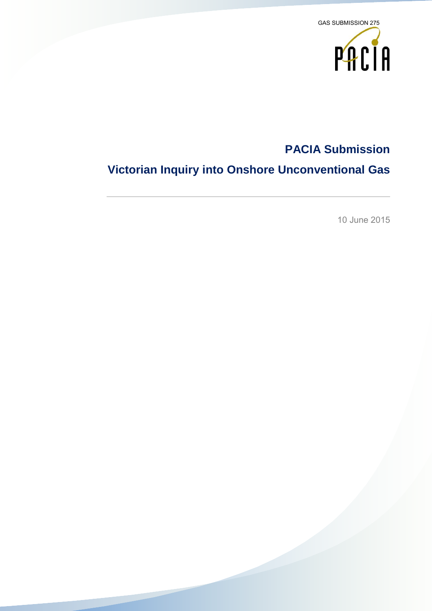

## **PACIA Submission**

# **Victorian Inquiry into Onshore Unconventional Gas**

10 June 2015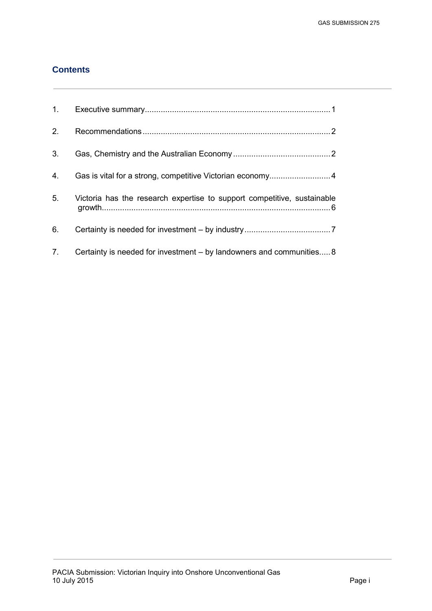### **Contents**

| 1.             |                                                                         |
|----------------|-------------------------------------------------------------------------|
| 2.             |                                                                         |
| 3.             |                                                                         |
| 4.             |                                                                         |
| 5.             | Victoria has the research expertise to support competitive, sustainable |
| 6.             |                                                                         |
| 7 <sub>1</sub> | Certainty is needed for investment – by landowners and communities8     |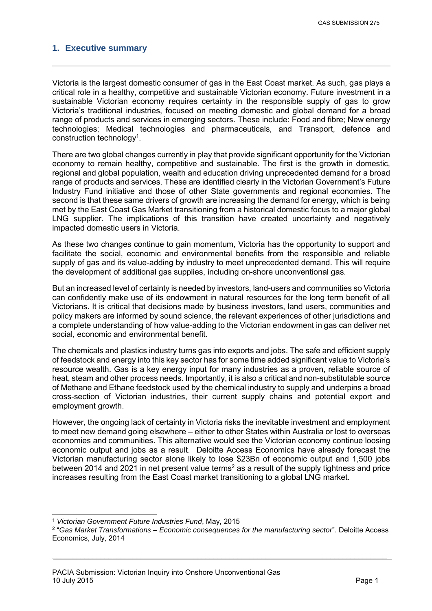#### <span id="page-2-0"></span>**1. Executive summary**

Victoria is the largest domestic consumer of gas in the East Coast market. As such, gas plays a critical role in a healthy, competitive and sustainable Victorian economy. Future investment in a sustainable Victorian economy requires certainty in the responsible supply of gas to grow Victoria's traditional industries, focused on meeting domestic and global demand for a broad range of products and services in emerging sectors. These include: Food and fibre; New energy technologies; Medical technologies and pharmaceuticals, and Transport, defence and construction technology<sup>1</sup>.

There are two global changes currently in play that provide significant opportunity for the Victorian economy to remain healthy, competitive and sustainable. The first is the growth in domestic, regional and global population, wealth and education driving unprecedented demand for a broad range of products and services. These are identified clearly in the Victorian Government's Future Industry Fund initiative and those of other State governments and regional economies. The second is that these same drivers of growth are increasing the demand for energy, which is being met by the East Coast Gas Market transitioning from a historical domestic focus to a major global LNG supplier. The implications of this transition have created uncertainty and negatively impacted domestic users in Victoria.

As these two changes continue to gain momentum, Victoria has the opportunity to support and facilitate the social, economic and environmental benefits from the responsible and reliable supply of gas and its value-adding by industry to meet unprecedented demand. This will require the development of additional gas supplies, including on-shore unconventional gas.

But an increased level of certainty is needed by investors, land-users and communities so Victoria can confidently make use of its endowment in natural resources for the long term benefit of all Victorians. It is critical that decisions made by business investors, land users, communities and policy makers are informed by sound science, the relevant experiences of other jurisdictions and a complete understanding of how value-adding to the Victorian endowment in gas can deliver net social, economic and environmental benefit.

The chemicals and plastics industry turns gas into exports and jobs. The safe and efficient supply of feedstock and energy into this key sector has for some time added significant value to Victoria's resource wealth. Gas is a key energy input for many industries as a proven, reliable source of heat, steam and other process needs. Importantly, it is also a critical and non-substitutable source of Methane and Ethane feedstock used by the chemical industry to supply and underpins a broad cross-section of Victorian industries, their current supply chains and potential export and employment growth.

However, the ongoing lack of certainty in Victoria risks the inevitable investment and employment to meet new demand going elsewhere – either to other States within Australia or lost to overseas economies and communities. This alternative would see the Victorian economy continue loosing economic output and jobs as a result. Deloitte Access Economics have already forecast the Victorian manufacturing sector alone likely to lose \$23Bn of economic output and 1,500 jobs between 2014 and 2021 in net present value terms<sup>2</sup> as a result of the supply tightness and price increases resulting from the East Coast market transitioning to a global LNG market.

<sup>-</sup><sup>1</sup> *Victorian Government Future Industries Fund*, May, 2015

<sup>2</sup> "*Gas Market Transformations – Economic consequences for the manufacturing sector*". Deloitte Access Economics, July, 2014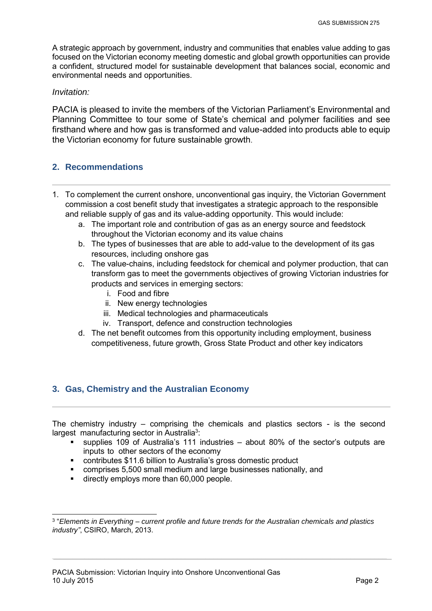A strategic approach by government, industry and communities that enables value adding to gas focused on the Victorian economy meeting domestic and global growth opportunities can provide a confident, structured model for sustainable development that balances social, economic and environmental needs and opportunities.

#### *Invitation:*

PACIA is pleased to invite the members of the Victorian Parliament's Environmental and Planning Committee to tour some of State's chemical and polymer facilities and see firsthand where and how gas is transformed and value-added into products able to equip the Victorian economy for future sustainable growth.

#### <span id="page-3-0"></span>**2. Recommendations**

- 1. To complement the current onshore, unconventional gas inquiry, the Victorian Government commission a cost benefit study that investigates a strategic approach to the responsible and reliable supply of gas and its value-adding opportunity. This would include:
	- a. The important role and contribution of gas as an energy source and feedstock throughout the Victorian economy and its value chains
	- b. The types of businesses that are able to add-value to the development of its gas resources, including onshore gas
	- c. The value-chains, including feedstock for chemical and polymer production, that can transform gas to meet the governments objectives of growing Victorian industries for products and services in emerging sectors:
		- i. Food and fibre
		- ii. New energy technologies
		- iii. Medical technologies and pharmaceuticals
		- iv. Transport, defence and construction technologies
	- d. The net benefit outcomes from this opportunity including employment, business competitiveness, future growth, Gross State Product and other key indicators

#### <span id="page-3-1"></span>**3. Gas, Chemistry and the Australian Economy**

The chemistry industry – comprising the chemicals and plastics sectors - is the second largest manufacturing sector in Australia<sup>3</sup>:

- supplies 109 of Australia's 111 industries about 80% of the sector's outputs are inputs to other sectors of the economy
- contributes \$11.6 billion to Australia's gross domestic product
- comprises 5,500 small medium and large businesses nationally, and
- **directly employs more than 60,000 people.**

<sup>-</sup>3 "*Elements in Everything – current profile and future trends for the Australian chemicals and plastics industry"*, CSIRO, March, 2013.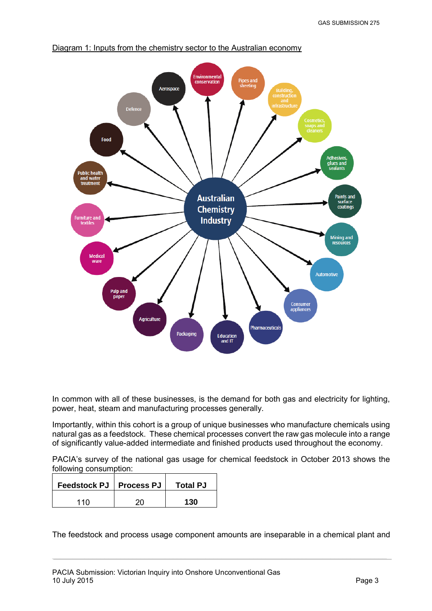

#### Diagram 1: Inputs from the chemistry sector to the Australian economy

In common with all of these businesses, is the demand for both gas and electricity for lighting, power, heat, steam and manufacturing processes generally.

Importantly, within this cohort is a group of unique businesses who manufacture chemicals using natural gas as a feedstock. These chemical processes convert the raw gas molecule into a range of significantly value-added intermediate and finished products used throughout the economy.

PACIA's survey of the national gas usage for chemical feedstock in October 2013 shows the following consumption:

| Feedstock PJ   Process PJ | <b>Total PJ</b> |
|---------------------------|-----------------|
| 11 N                      | 130             |

The feedstock and process usage component amounts are inseparable in a chemical plant and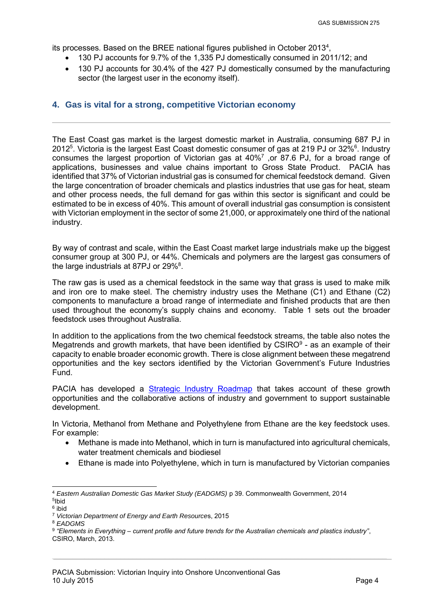its processes. Based on the BREE national figures published in October 2013<sup>4</sup>,

- 130 PJ accounts for 9.7% of the 1,335 PJ domestically consumed in 2011/12; and
- 130 PJ accounts for 30.4% of the 427 PJ domestically consumed by the manufacturing sector (the largest user in the economy itself).

#### <span id="page-5-0"></span>**4. Gas is vital for a strong, competitive Victorian economy**

The East Coast gas market is the largest domestic market in Australia, consuming 687 PJ in 2012<sup>5</sup>. Victoria is the largest East Coast domestic consumer of gas at 219 PJ or 32%<sup>6</sup>. Industry consumes the largest proportion of Victorian gas at  $40\%$ <sup>7</sup>, or 87.6 PJ, for a broad range of applications, businesses and value chains important to Gross State Product. PACIA has identified that 37% of Victorian industrial gas is consumed for chemical feedstock demand. Given the large concentration of broader chemicals and plastics industries that use gas for heat, steam and other process needs, the full demand for gas within this sector is significant and could be estimated to be in excess of 40%. This amount of overall industrial gas consumption is consistent with Victorian employment in the sector of some 21,000, or approximately one third of the national industry.

By way of contrast and scale, within the East Coast market large industrials make up the biggest consumer group at 300 PJ, or 44%. Chemicals and polymers are the largest gas consumers of the large industrials at 87PJ or 29% $8$ .

The raw gas is used as a chemical feedstock in the same way that grass is used to make milk and iron ore to make steel. The chemistry industry uses the Methane (C1) and Ethane (C2) components to manufacture a broad range of intermediate and finished products that are then used throughout the economy's supply chains and economy. Table 1 sets out the broader feedstock uses throughout Australia.

In addition to the applications from the two chemical feedstock streams, the table also notes the Megatrends and growth markets, that have been identified by  $CSIRO<sup>9</sup>$  - as an example of their capacity to enable broader economic growth. There is close alignment between these megatrend opportunities and the key sectors identified by the Victorian Government's Future Industries Fund.

PACIA has developed a [Strategic Industry Roadmap](http://www.pacia.org.au/reports/Adding_Value) that takes account of these growth opportunities and the collaborative actions of industry and government to support sustainable development.

In Victoria, Methanol from Methane and Polyethylene from Ethane are the key feedstock uses. For example:

- Methane is made into Methanol, which in turn is manufactured into agricultural chemicals, water treatment chemicals and biodiesel
- Ethane is made into Polyethylene, which in turn is manufactured by Victorian companies

-

<sup>4</sup> *Eastern Australian Domestic Gas Market Study (EADGMS)* p 39. Commonwealth Government, 2014 5 Ibid <sup>6</sup> ibid

<sup>7</sup>  *Victorian Department of Energy and Earth Resource*s, 2015

<sup>8</sup> *EADGMS* 

<sup>9</sup> *"Elements in Everything – current profile and future trends for the Australian chemicals and plastics industry"*, CSIRO, March, 2013.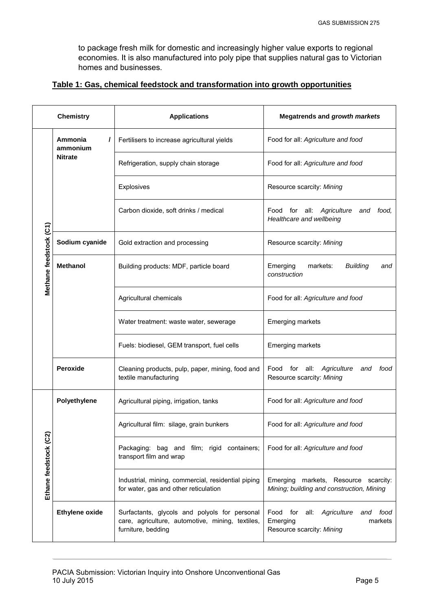to package fresh milk for domestic and increasingly higher value exports to regional economies. It is also manufactured into poly pipe that supplies natural gas to Victorian homes and businesses.

#### **Table 1: Gas, chemical feedstock and transformation into growth opportunities**

| <b>Chemistry</b>       |                                            | <b>Applications</b>                                                                                                     | <b>Megatrends and growth markets</b>                                                            |
|------------------------|--------------------------------------------|-------------------------------------------------------------------------------------------------------------------------|-------------------------------------------------------------------------------------------------|
| Methane feedstock (C1) | Ammonia<br>I<br>ammonium<br><b>Nitrate</b> | Fertilisers to increase agricultural yields                                                                             | Food for all: Agriculture and food                                                              |
|                        |                                            | Refrigeration, supply chain storage                                                                                     | Food for all: Agriculture and food                                                              |
|                        |                                            | Explosives                                                                                                              | Resource scarcity: Mining                                                                       |
|                        |                                            | Carbon dioxide, soft drinks / medical                                                                                   | Food for all: Agriculture<br>food,<br>and<br>Healthcare and wellbeing                           |
|                        | Sodium cyanide                             | Gold extraction and processing                                                                                          | Resource scarcity: Mining                                                                       |
|                        | <b>Methanol</b>                            | Building products: MDF, particle board                                                                                  | Emerging<br>markets:<br><b>Building</b><br>and<br>construction                                  |
|                        |                                            | Agricultural chemicals                                                                                                  | Food for all: Agriculture and food                                                              |
|                        |                                            | Water treatment: waste water, sewerage                                                                                  | <b>Emerging markets</b>                                                                         |
|                        |                                            | Fuels: biodiesel, GEM transport, fuel cells                                                                             | <b>Emerging markets</b>                                                                         |
|                        | Peroxide                                   | Cleaning products, pulp, paper, mining, food and<br>textile manufacturing                                               | Food for all:<br>Agriculture<br>and<br>food<br>Resource scarcity: Mining                        |
| Ethane feedstock (C2)  | Polyethylene                               | Agricultural piping, irrigation, tanks                                                                                  | Food for all: Agriculture and food                                                              |
|                        |                                            | Agricultural film: silage, grain bunkers                                                                                | Food for all: Agriculture and food                                                              |
|                        |                                            | Packaging: bag and film; rigid containers;<br>transport film and wrap                                                   | Food for all: Agriculture and food                                                              |
|                        |                                            | Industrial, mining, commercial, residential piping<br>for water, gas and other reticulation                             | Emerging markets, Resource scarcity:<br>Mining; building and construction, Mining               |
|                        | <b>Ethylene oxide</b>                      | Surfactants, glycols and polyols for personal<br>care, agriculture, automotive, mining, textiles,<br>furniture, bedding | Food for all:<br>Agriculture<br>food<br>and<br>Emerging<br>markets<br>Resource scarcity: Mining |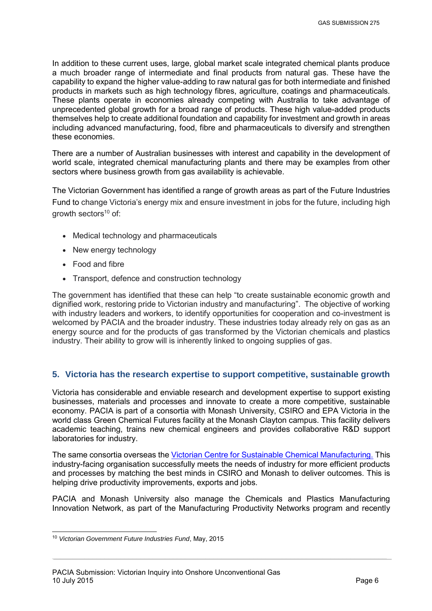In addition to these current uses, large, global market scale integrated chemical plants produce a much broader range of intermediate and final products from natural gas. These have the capability to expand the higher value-adding to raw natural gas for both intermediate and finished products in markets such as high technology fibres, agriculture, coatings and pharmaceuticals. These plants operate in economies already competing with Australia to take advantage of unprecedented global growth for a broad range of products. These high value-added products themselves help to create additional foundation and capability for investment and growth in areas including advanced manufacturing, food, fibre and pharmaceuticals to diversify and strengthen these economies.

There are a number of Australian businesses with interest and capability in the development of world scale, integrated chemical manufacturing plants and there may be examples from other sectors where business growth from gas availability is achievable.

The Victorian Government has identified a range of growth areas as part of the Future Industries Fund to change Victoria's energy mix and ensure investment in jobs for the future, including high growth sectors <sup>10</sup> of:

- Medical technology and pharmaceuticals
- New energy technology
- Food and fibre
- Transport, defence and construction technology

The government has identified that these can help "to create sustainable economic growth and dignified work, restoring pride to Victorian industry and manufacturing". The objective of working with industry leaders and workers, to identify opportunities for cooperation and co-investment is welcomed by PACIA and the broader industry. These industries today already rely on gas as an energy source and for the products of gas transformed by the Victorian chemicals and plastics industry. Their ability to grow will is inherently linked to ongoing supplies of gas.

#### <span id="page-7-0"></span>**5. Victoria has the research expertise to support competitive, sustainable growth**

Victoria has considerable and enviable research and development expertise to support existing businesses, materials and processes and innovate to create a more competitive, sustainable economy. PACIA is part of a consortia with Monash University, CSIRO and EPA Victoria in the world class Green Chemical Futures facility at the Monash Clayton campus. This facility delivers academic teaching, trains new chemical engineers and provides collaborative R&D support laboratories for industry.

The same consortia overseas the [Victorian Centre for Sustainable Chemical Manufacturing.](http://vcscm.org/) This industry-facing organisation successfully meets the needs of industry for more efficient products and processes by matching the best minds in CSIRO and Monash to deliver outcomes. This is helping drive productivity improvements, exports and jobs.

PACIA and Monash University also manage the Chemicals and Plastics Manufacturing Innovation Network, as part of the Manufacturing Productivity Networks program and recently

<sup>-</sup><sup>10</sup> *Victorian Government Future Industries Fund*, May, 2015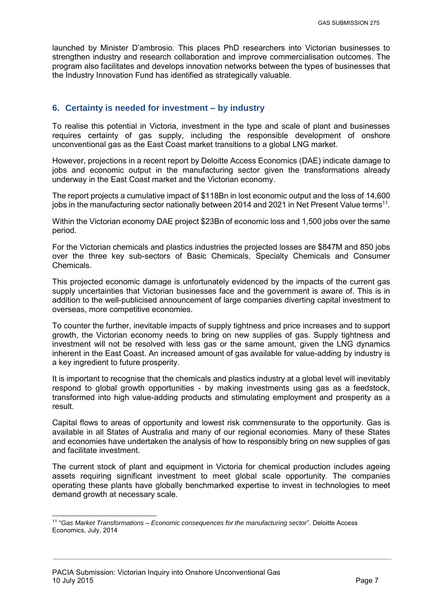launched by Minister D'ambrosio. This places PhD researchers into Victorian businesses to strengthen industry and research collaboration and improve commercialisation outcomes. The program also facilitates and develops innovation networks between the types of businesses that the Industry Innovation Fund has identified as strategically valuable.

#### <span id="page-8-0"></span>**6. Certainty is needed for investment – by industry**

To realise this potential in Victoria, investment in the type and scale of plant and businesses requires certainty of gas supply, including the responsible development of onshore unconventional gas as the East Coast market transitions to a global LNG market.

However, projections in a recent report by Deloitte Access Economics (DAE) indicate damage to jobs and economic output in the manufacturing sector given the transformations already underway in the East Coast market and the Victorian economy.

The report projects a cumulative impact of \$118Bn in lost economic output and the loss of 14,600 jobs in the manufacturing sector nationally between 2014 and 2021 in Net Present Value terms<sup>11</sup>.

Within the Victorian economy DAE project \$23Bn of economic loss and 1,500 jobs over the same period.

For the Victorian chemicals and plastics industries the projected losses are \$847M and 850 jobs over the three key sub-sectors of Basic Chemicals, Specialty Chemicals and Consumer Chemicals.

This projected economic damage is unfortunately evidenced by the impacts of the current gas supply uncertainties that Victorian businesses face and the government is aware of. This is in addition to the well-publicised announcement of large companies diverting capital investment to overseas, more competitive economies.

To counter the further, inevitable impacts of supply tightness and price increases and to support growth, the Victorian economy needs to bring on new supplies of gas. Supply tightness and investment will not be resolved with less gas or the same amount, given the LNG dynamics inherent in the East Coast. An increased amount of gas available for value-adding by industry is a key ingredient to future prosperity.

It is important to recognise that the chemicals and plastics industry at a global level will inevitably respond to global growth opportunities - by making investments using gas as a feedstock, transformed into high value-adding products and stimulating employment and prosperity as a result.

Capital flows to areas of opportunity and lowest risk commensurate to the opportunity. Gas is available in all States of Australia and many of our regional economies. Many of these States and economies have undertaken the analysis of how to responsibly bring on new supplies of gas and facilitate investment.

The current stock of plant and equipment in Victoria for chemical production includes ageing assets requiring significant investment to meet global scale opportunity. The companies operating these plants have globally benchmarked expertise to invest in technologies to meet demand growth at necessary scale.

 11 "*Gas Market Transformations – Economic consequences for the manufacturing sector*". Deloitte Access Economics, July, 2014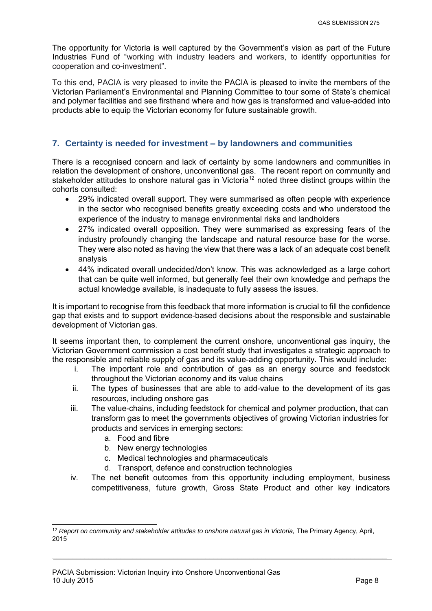The opportunity for Victoria is well captured by the Government's vision as part of the Future Industries Fund of "working with industry leaders and workers, to identify opportunities for cooperation and co-investment".

To this end, PACIA is very pleased to invite the PACIA is pleased to invite the members of the Victorian Parliament's Environmental and Planning Committee to tour some of State's chemical and polymer facilities and see firsthand where and how gas is transformed and value-added into products able to equip the Victorian economy for future sustainable growth.

#### <span id="page-9-0"></span>**7. Certainty is needed for investment – by landowners and communities**

There is a recognised concern and lack of certainty by some landowners and communities in relation the development of onshore, unconventional gas. The recent report on community and stakeholder attitudes to onshore natural gas in Victoria<sup>12</sup> noted three distinct groups within the cohorts consulted:

- 29% indicated overall support. They were summarised as often people with experience in the sector who recognised benefits greatly exceeding costs and who understood the experience of the industry to manage environmental risks and landholders
- 27% indicated overall opposition. They were summarised as expressing fears of the industry profoundly changing the landscape and natural resource base for the worse. They were also noted as having the view that there was a lack of an adequate cost benefit analysis
- 44% indicated overall undecided/don't know. This was acknowledged as a large cohort that can be quite well informed, but generally feel their own knowledge and perhaps the actual knowledge available, is inadequate to fully assess the issues.

It is important to recognise from this feedback that more information is crucial to fill the confidence gap that exists and to support evidence-based decisions about the responsible and sustainable development of Victorian gas.

It seems important then, to complement the current onshore, unconventional gas inquiry, the Victorian Government commission a cost benefit study that investigates a strategic approach to the responsible and reliable supply of gas and its value-adding opportunity. This would include:

- i. The important role and contribution of gas as an energy source and feedstock throughout the Victorian economy and its value chains
- ii. The types of businesses that are able to add-value to the development of its gas resources, including onshore gas
- iii. The value-chains, including feedstock for chemical and polymer production, that can transform gas to meet the governments objectives of growing Victorian industries for products and services in emerging sectors:
	- a. Food and fibre

-

- b. New energy technologies
- c. Medical technologies and pharmaceuticals
- d. Transport, defence and construction technologies
- iv. The net benefit outcomes from this opportunity including employment, business competitiveness, future growth, Gross State Product and other key indicators

<sup>&</sup>lt;sup>12</sup> Report on community and stakeholder attitudes to onshore natural gas in Victoria, The Primary Agency, April, 2015